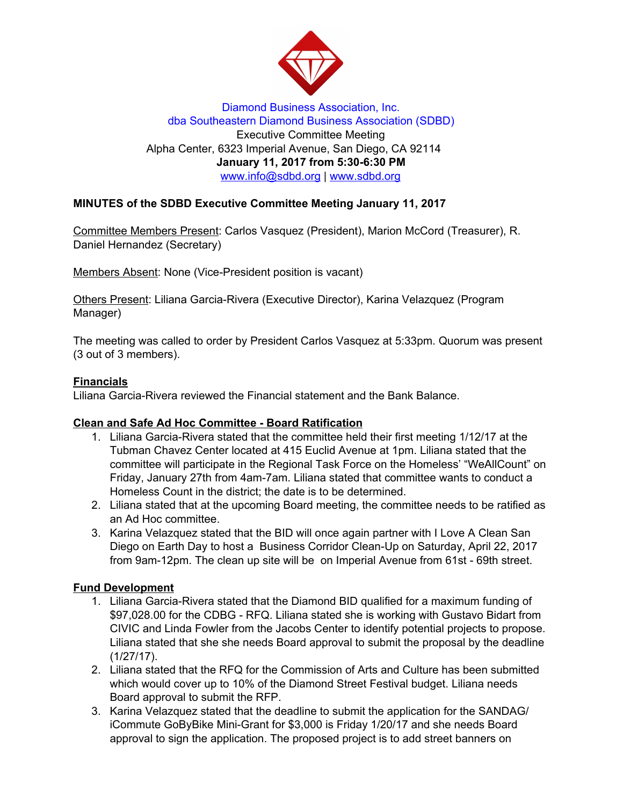

### Diamond Business Association, Inc. dba Southeastern Diamond Business Association (SDBD) Executive Committee Meeting Alpha Center, 6323 Imperial Avenue, San Diego, CA 92114 **January 11, 2017 from 5:30-6:30 PM** www.info@sdbd.org | [www.sdbd.org](http://www.sdbd.org/)

# **MINUTES of the SDBD Executive Committee Meeting January 11, 2017**

Committee Members Present: Carlos Vasquez (President), Marion McCord (Treasurer), R. Daniel Hernandez (Secretary)

Members Absent: None (Vice-President position is vacant)

Others Present: Liliana Garcia-Rivera (Executive Director), Karina Velazquez (Program Manager)

The meeting was called to order by President Carlos Vasquez at 5:33pm. Quorum was present (3 out of 3 members).

### **Financials**

Liliana Garcia-Rivera reviewed the Financial statement and the Bank Balance.

#### **Clean and Safe Ad Hoc Committee - Board Ratification**

- 1. Liliana Garcia-Rivera stated that the committee held their first meeting 1/12/17 at the Tubman Chavez Center located at 415 Euclid Avenue at 1pm. Liliana stated that the committee will participate in the Regional Task Force on the Homeless' "WeAllCount" on Friday, January 27th from 4am-7am. Liliana stated that committee wants to conduct a Homeless Count in the district; the date is to be determined.
- 2. Liliana stated that at the upcoming Board meeting, the committee needs to be ratified as an Ad Hoc committee.
- 3. Karina Velazquez stated that the BID will once again partner with I Love A Clean San Diego on Earth Day to host a Business Corridor Clean-Up on Saturday, April 22, 2017 from 9am-12pm. The clean up site will be on Imperial Avenue from 61st - 69th street.

#### **Fund Development**

- 1. Liliana Garcia-Rivera stated that the Diamond BID qualified for a maximum funding of \$97,028.00 for the CDBG - RFQ. Liliana stated she is working with Gustavo Bidart from CIVIC and Linda Fowler from the Jacobs Center to identify potential projects to propose. Liliana stated that she she needs Board approval to submit the proposal by the deadline (1/27/17).
- 2. Liliana stated that the RFQ for the Commission of Arts and Culture has been submitted which would cover up to 10% of the Diamond Street Festival budget. Liliana needs Board approval to submit the RFP.
- 3. Karina Velazquez stated that the deadline to submit the application for the SANDAG/ iCommute GoByBike Mini-Grant for \$3,000 is Friday 1/20/17 and she needs Board approval to sign the application. The proposed project is to add street banners on